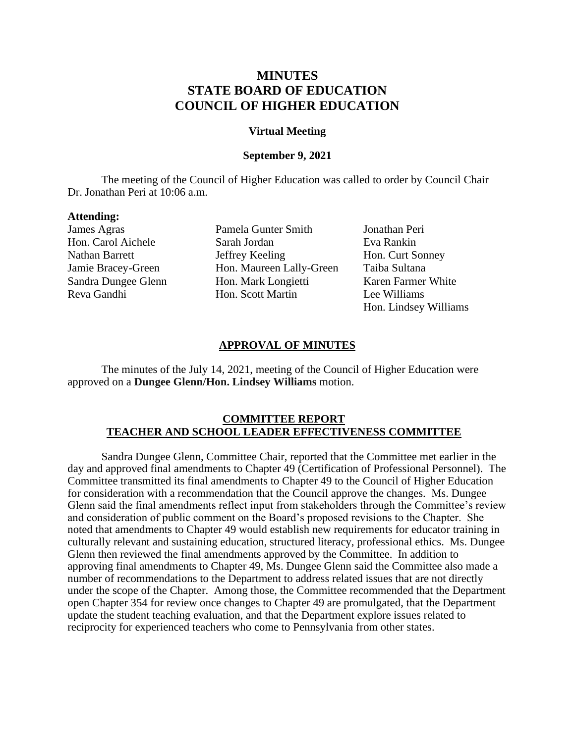# **MINUTES STATE BOARD OF EDUCATION COUNCIL OF HIGHER EDUCATION**

### **Virtual Meeting**

## **September 9, 2021**

The meeting of the Council of Higher Education was called to order by Council Chair Dr. Jonathan Peri at 10:06 a.m.

### **Attending:**

James Agras Pamela Gunter Smith Jonathan Peri Hon. Carol Aichele Sarah Jordan Eva Rankin Nathan Barrett **International Section** Jeffrey Keeling Hon. Curt Sonney Jamie Bracey-Green Hon. Maureen Lally-Green Taiba Sultana Sandra Dungee Glenn Hon. Mark Longietti Karen Farmer White Reva Gandhi Hon. Scott Martin Lee Williams

Hon. Lindsey Williams

### **APPROVAL OF MINUTES**

The minutes of the July 14, 2021, meeting of the Council of Higher Education were approved on a **Dungee Glenn/Hon. Lindsey Williams** motion.

### **COMMITTEE REPORT TEACHER AND SCHOOL LEADER EFFECTIVENESS COMMITTEE**

Sandra Dungee Glenn, Committee Chair, reported that the Committee met earlier in the day and approved final amendments to Chapter 49 (Certification of Professional Personnel). The Committee transmitted its final amendments to Chapter 49 to the Council of Higher Education for consideration with a recommendation that the Council approve the changes. Ms. Dungee Glenn said the final amendments reflect input from stakeholders through the Committee's review and consideration of public comment on the Board's proposed revisions to the Chapter. She noted that amendments to Chapter 49 would establish new requirements for educator training in culturally relevant and sustaining education, structured literacy, professional ethics. Ms. Dungee Glenn then reviewed the final amendments approved by the Committee. In addition to approving final amendments to Chapter 49, Ms. Dungee Glenn said the Committee also made a number of recommendations to the Department to address related issues that are not directly under the scope of the Chapter. Among those, the Committee recommended that the Department open Chapter 354 for review once changes to Chapter 49 are promulgated, that the Department update the student teaching evaluation, and that the Department explore issues related to reciprocity for experienced teachers who come to Pennsylvania from other states.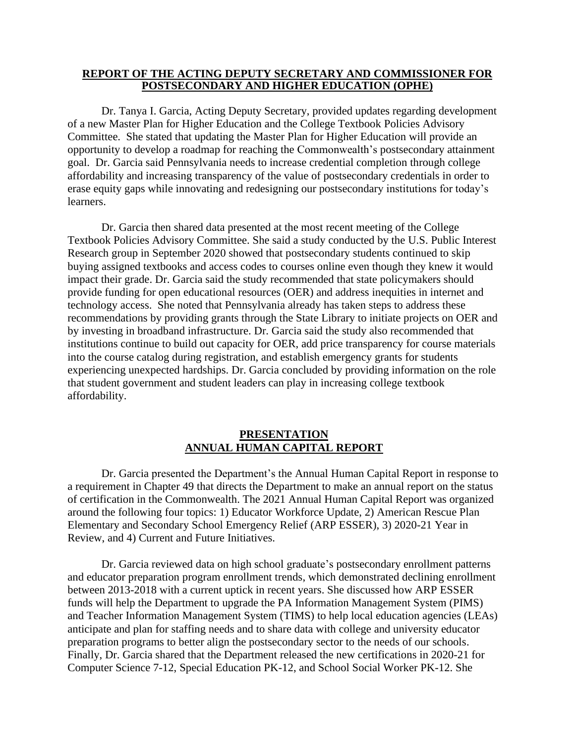## **REPORT OF THE ACTING DEPUTY SECRETARY AND COMMISSIONER FOR POSTSECONDARY AND HIGHER EDUCATION (OPHE)**

 goal. Dr. Garcia said Pennsylvania needs to increase credential completion through college Dr. Tanya I. Garcia, Acting Deputy Secretary, provided updates regarding development of a new Master Plan for Higher Education and the College Textbook Policies Advisory Committee. She stated that updating the Master Plan for Higher Education will provide an opportunity to develop a roadmap for reaching the Commonwealth's postsecondary attainment affordability and increasing transparency of the value of postsecondary credentials in order to erase equity gaps while innovating and redesigning our postsecondary institutions for today's learners.

Dr. Garcia then shared data presented at the most recent meeting of the College Textbook Policies Advisory Committee. She said a study conducted by the U.S. Public Interest Research group in September 2020 showed that postsecondary students continued to skip buying assigned textbooks and access codes to courses online even though they knew it would impact their grade. Dr. Garcia said the study recommended that state policymakers should provide funding for open educational resources (OER) and address inequities in internet and technology access. She noted that Pennsylvania already has taken steps to address these recommendations by providing grants through the State Library to initiate projects on OER and by investing in broadband infrastructure. Dr. Garcia said the study also recommended that institutions continue to build out capacity for OER, add price transparency for course materials into the course catalog during registration, and establish emergency grants for students experiencing unexpected hardships. Dr. Garcia concluded by providing information on the role that student government and student leaders can play in increasing college textbook affordability.

# **PRESENTATION ANNUAL HUMAN CAPITAL REPORT**

 around the following four topics: 1) Educator Workforce Update, 2) American Rescue Plan Dr. Garcia presented the Department's the Annual Human Capital Report in response to a requirement in Chapter 49 that directs the Department to make an annual report on the status of certification in the Commonwealth. The 2021 Annual Human Capital Report was organized Elementary and Secondary School Emergency Relief (ARP ESSER), 3) 2020-21 Year in Review, and 4) Current and Future Initiatives.

preparation programs to better align the postsecondary sector to the needs of our schools. Dr. Garcia reviewed data on high school graduate's postsecondary enrollment patterns and educator preparation program enrollment trends, which demonstrated declining enrollment between 2013-2018 with a current uptick in recent years. She discussed how ARP ESSER funds will help the Department to upgrade the PA Information Management System (PIMS) and Teacher Information Management System (TIMS) to help local education agencies (LEAs) anticipate and plan for staffing needs and to share data with college and university educator Finally, Dr. Garcia shared that the Department released the new certifications in 2020-21 for Computer Science 7-12, Special Education PK-12, and School Social Worker PK-12. She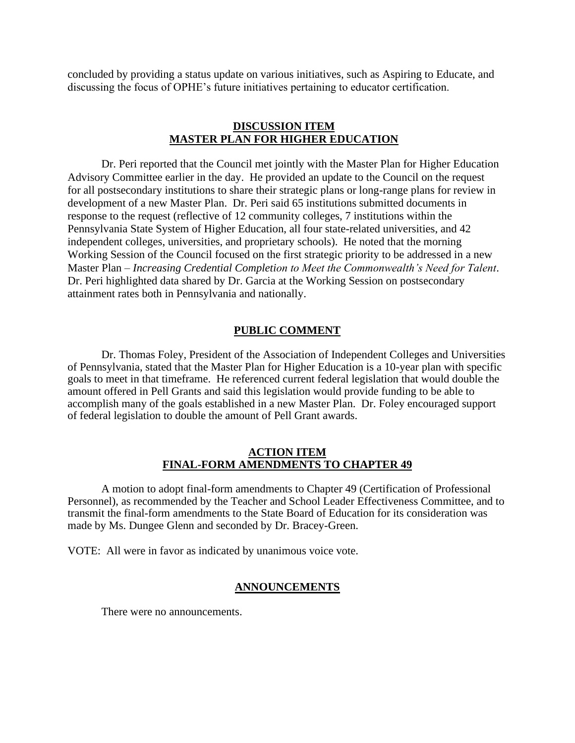concluded by providing a status update on various initiatives, such as Aspiring to Educate, and discussing the focus of OPHE's future initiatives pertaining to educator certification.

# **DISCUSSION ITEM MASTER PLAN FOR HIGHER EDUCATION**

Dr. Peri reported that the Council met jointly with the Master Plan for Higher Education Advisory Committee earlier in the day. He provided an update to the Council on the request for all postsecondary institutions to share their strategic plans or long-range plans for review in development of a new Master Plan. Dr. Peri said 65 institutions submitted documents in response to the request (reflective of 12 community colleges, 7 institutions within the Pennsylvania State System of Higher Education, all four state-related universities, and 42 independent colleges, universities, and proprietary schools). He noted that the morning Working Session of the Council focused on the first strategic priority to be addressed in a new Master Plan – *Increasing Credential Completion to Meet the Commonwealth's Need for Talent*. Dr. Peri highlighted data shared by Dr. Garcia at the Working Session on postsecondary attainment rates both in Pennsylvania and nationally.

### **PUBLIC COMMENT**

Dr. Thomas Foley, President of the Association of Independent Colleges and Universities of Pennsylvania, stated that the Master Plan for Higher Education is a 10-year plan with specific goals to meet in that timeframe. He referenced current federal legislation that would double the amount offered in Pell Grants and said this legislation would provide funding to be able to accomplish many of the goals established in a new Master Plan. Dr. Foley encouraged support of federal legislation to double the amount of Pell Grant awards.

### **ACTION ITEM FINAL-FORM AMENDMENTS TO CHAPTER 49**

A motion to adopt final-form amendments to Chapter 49 (Certification of Professional Personnel), as recommended by the Teacher and School Leader Effectiveness Committee, and to transmit the final-form amendments to the State Board of Education for its consideration was made by Ms. Dungee Glenn and seconded by Dr. Bracey-Green.

VOTE: All were in favor as indicated by unanimous voice vote.

## **ANNOUNCEMENTS**

There were no announcements.